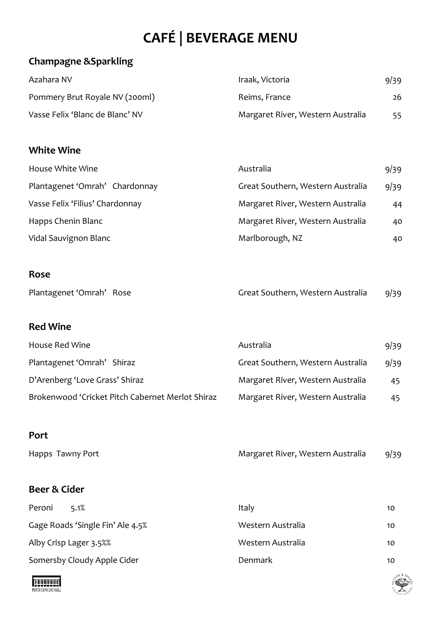# **CAFÉ | BEVERAGE MENU**

## **Champagne &Sparkling**

| Azahara NV                      | Iraak, Victoria                   | 9/39 |
|---------------------------------|-----------------------------------|------|
| Pommery Brut Royale NV (200ml)  | Reims, France                     | 26   |
| Vasse Felix 'Blanc de Blanc' NV | Margaret River, Western Australia | 55.  |

#### **White Wine**

| House White Wine                | Australia                         | 9/39 |
|---------------------------------|-----------------------------------|------|
| Plantagenet 'Omrah' Chardonnay  | Great Southern, Western Australia | 9/39 |
| Vasse Felix 'Filius' Chardonnay | Margaret River, Western Australia | 44   |
| Happs Chenin Blanc              | Margaret River, Western Australia | 40   |
| Vidal Sauvignon Blanc           | Marlborough, NZ                   | 40   |

#### **Rose**

| Plantagenet 'Omrah' Rose | Great Southern, Western Australia | 9/39 |
|--------------------------|-----------------------------------|------|
|--------------------------|-----------------------------------|------|

#### **Red Wine**

| House Red Wine                                   | Australia                         | 9/39 |
|--------------------------------------------------|-----------------------------------|------|
| Plantagenet 'Omrah' Shiraz                       | Great Southern, Western Australia | 9/39 |
| D'Arenberg 'Love Grass' Shiraz                   | Margaret River, Western Australia | 45   |
| Brokenwood 'Cricket Pitch Cabernet Merlot Shiraz | Margaret River, Western Australia | 45   |

## **Port**

| Happs Tawny Port | Margaret River, Western Australia | 9/39 |
|------------------|-----------------------------------|------|
|                  |                                   |      |

## **Beer & Cider**

| Peroni<br>5.1%                   | Italy             | 10 |
|----------------------------------|-------------------|----|
| Gage Roads 'Single Fin' Ale 4.5% | Western Australia | 10 |
| Alby Crisp Lager 3.5%%           | Western Australia | 10 |
| Somersby Cloudy Apple Cider      | <b>Denmark</b>    | 10 |